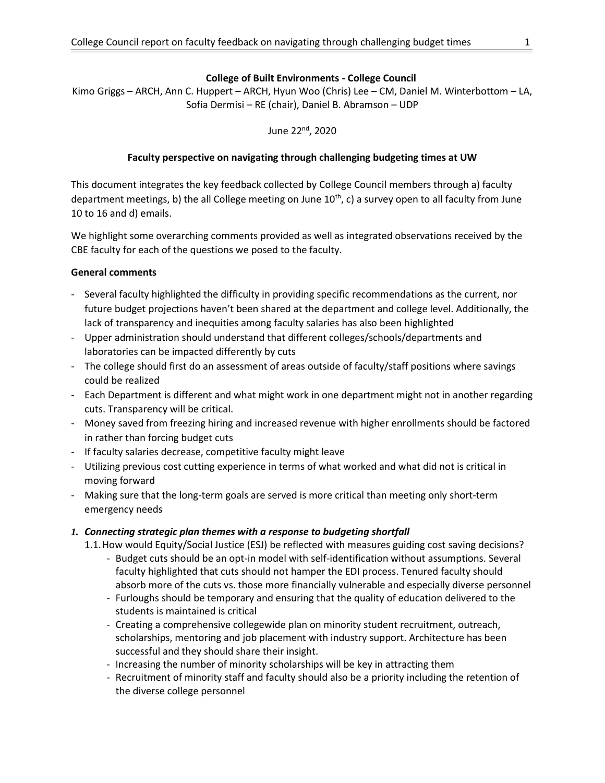#### **College of Built Environments - College Council**

Kimo Griggs – ARCH, Ann C. Huppert – ARCH, Hyun Woo (Chris) Lee – CM, Daniel M. Winterbottom – LA, Sofia Dermisi – RE (chair), Daniel B. Abramson – UDP

June 22nd, 2020

# **Faculty perspective on navigating through challenging budgeting times at UW**

This document integrates the key feedback collected by College Council members through a) faculty department meetings, b) the all College meeting on June  $10^{th}$ , c) a survey open to all faculty from June 10 to 16 and d) emails.

We highlight some overarching comments provided as well as integrated observations received by the CBE faculty for each of the questions we posed to the faculty.

## **General comments**

- Several faculty highlighted the difficulty in providing specific recommendations as the current, nor future budget projections haven't been shared at the department and college level. Additionally, the lack of transparency and inequities among faculty salaries has also been highlighted
- Upper administration should understand that different colleges/schools/departments and laboratories can be impacted differently by cuts
- The college should first do an assessment of areas outside of faculty/staff positions where savings could be realized
- Each Department is different and what might work in one department might not in another regarding cuts. Transparency will be critical.
- Money saved from freezing hiring and increased revenue with higher enrollments should be factored in rather than forcing budget cuts
- If faculty salaries decrease, competitive faculty might leave
- Utilizing previous cost cutting experience in terms of what worked and what did not is critical in moving forward
- Making sure that the long-term goals are served is more critical than meeting only short-term emergency needs
- *1. Connecting strategic plan themes with a response to budgeting shortfall*
	- 1.1.How would Equity/Social Justice (ESJ) be reflected with measures guiding cost saving decisions?
		- Budget cuts should be an opt-in model with self-identification without assumptions. Several faculty highlighted that cuts should not hamper the EDI process. Tenured faculty should absorb more of the cuts vs. those more financially vulnerable and especially diverse personnel
		- Furloughs should be temporary and ensuring that the quality of education delivered to the students is maintained is critical
		- Creating a comprehensive collegewide plan on minority student recruitment, outreach, scholarships, mentoring and job placement with industry support. Architecture has been successful and they should share their insight.
		- Increasing the number of minority scholarships will be key in attracting them
		- Recruitment of minority staff and faculty should also be a priority including the retention of the diverse college personnel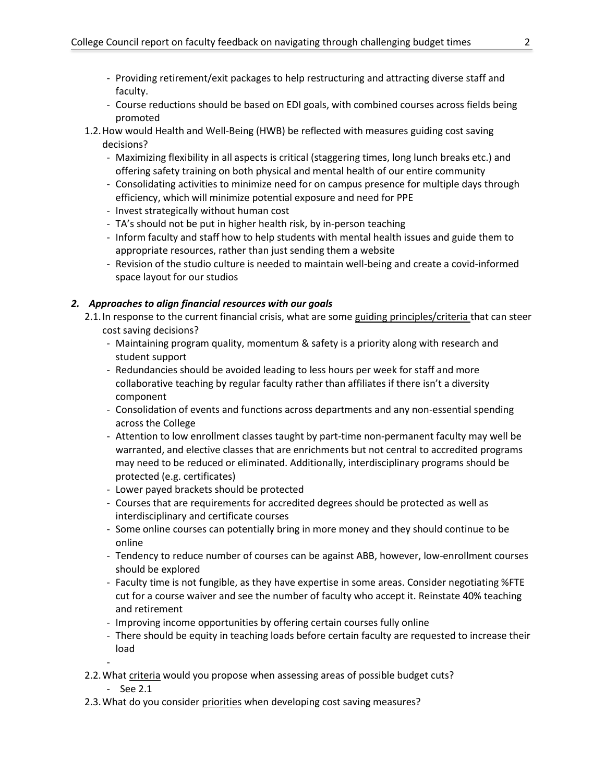- Providing retirement/exit packages to help restructuring and attracting diverse staff and faculty.
- Course reductions should be based on EDI goals, with combined courses across fields being promoted
- 1.2.How would Health and Well-Being (HWB) be reflected with measures guiding cost saving decisions?
	- Maximizing flexibility in all aspects is critical (staggering times, long lunch breaks etc.) and offering safety training on both physical and mental health of our entire community
	- Consolidating activities to minimize need for on campus presence for multiple days through efficiency, which will minimize potential exposure and need for PPE
	- Invest strategically without human cost
	- TA's should not be put in higher health risk, by in-person teaching
	- Inform faculty and staff how to help students with mental health issues and guide them to appropriate resources, rather than just sending them a website
	- Revision of the studio culture is needed to maintain well-being and create a covid-informed space layout for our studios

## *2. Approaches to align financial resources with our goals*

- 2.1.In response to the current financial crisis, what are some guiding principles/criteria that can steer cost saving decisions?
	- Maintaining program quality, momentum & safety is a priority along with research and student support
	- Redundancies should be avoided leading to less hours per week for staff and more collaborative teaching by regular faculty rather than affiliates if there isn't a diversity component
	- Consolidation of events and functions across departments and any non-essential spending across the College
	- Attention to low enrollment classes taught by part-time non-permanent faculty may well be warranted, and elective classes that are enrichments but not central to accredited programs may need to be reduced or eliminated. Additionally, interdisciplinary programs should be protected (e.g. certificates)
	- Lower payed brackets should be protected
	- Courses that are requirements for accredited degrees should be protected as well as interdisciplinary and certificate courses
	- Some online courses can potentially bring in more money and they should continue to be online
	- Tendency to reduce number of courses can be against ABB, however, low-enrollment courses should be explored
	- Faculty time is not fungible, as they have expertise in some areas. Consider negotiating %FTE cut for a course waiver and see the number of faculty who accept it. Reinstate 40% teaching and retirement
	- Improving income opportunities by offering certain courses fully online
	- There should be equity in teaching loads before certain faculty are requested to increase their load
- 2.2.What criteria would you propose when assessing areas of possible budget cuts?
	- See 2.1

-

2.3.What do you consider priorities when developing cost saving measures?